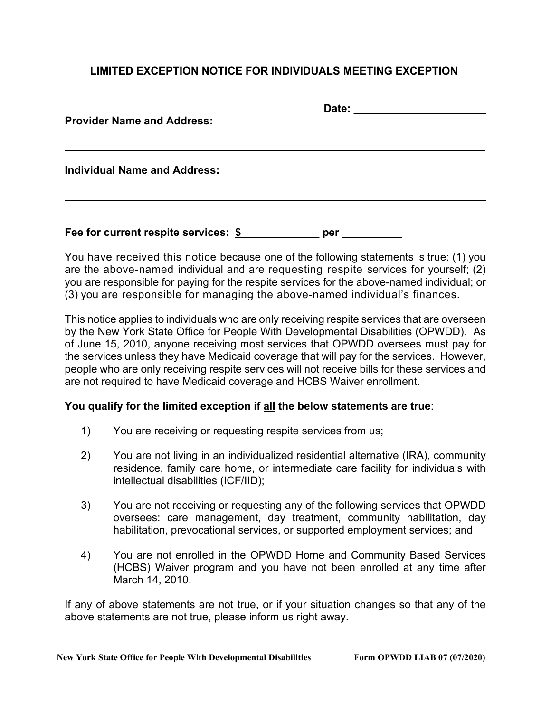## **LIMITED EXCEPTION NOTICE FOR INDIVIDUALS MEETING EXCEPTION**

| <b>Provider Name and Address:</b>    | Date: |  |
|--------------------------------------|-------|--|
| <b>Individual Name and Address:</b>  |       |  |
| Fee for current respite services: \$ | per   |  |

You have received this notice because one of the following statements is true: (1) you are the above-named individual and are requesting respite services for yourself; (2) you are responsible for paying for the respite services for the above-named individual; or (3) you are responsible for managing the above-named individual's finances.

This notice applies to individuals who are only receiving respite services that are overseen by the New York State Office for People With Developmental Disabilities (OPWDD). As of June 15, 2010, anyone receiving most services that OPWDD oversees must pay for the services unless they have Medicaid coverage that will pay for the services. However, people who are only receiving respite services will not receive bills for these services and are not required to have Medicaid coverage and HCBS Waiver enrollment.

## **You qualify for the limited exception if all the below statements are true**:

- 1) You are receiving or requesting respite services from us;
- 2) You are not living in an individualized residential alternative (IRA), community residence, family care home, or intermediate care facility for individuals with intellectual disabilities (ICF/IID);
- 3) You are not receiving or requesting any of the following services that OPWDD oversees: care management, day treatment, community habilitation, day habilitation, prevocational services, or supported employment services; and
- 4) You are not enrolled in the OPWDD Home and Community Based Services (HCBS) Waiver program and you have not been enrolled at any time after March 14, 2010.

If any of above statements are not true, or if your situation changes so that any of the above statements are not true, please inform us right away.